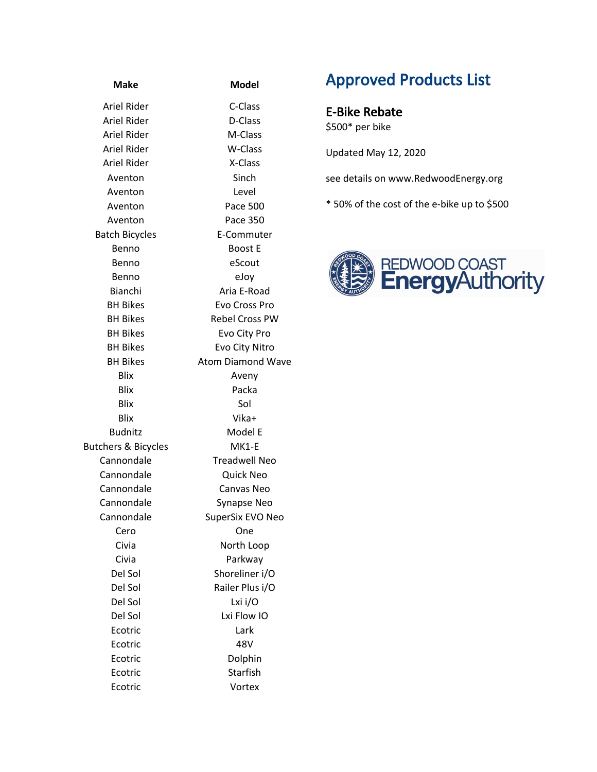| <b>Make</b>                    | <b>Model</b>             |  |
|--------------------------------|--------------------------|--|
| Ariel Rider                    | C-Class                  |  |
| Ariel Rider                    | D-Class                  |  |
| Ariel Rider                    | M-Class                  |  |
| Ariel Rider                    | W-Class                  |  |
| Ariel Rider                    | X-Class                  |  |
| Aventon                        | Sinch                    |  |
| Aventon                        | Level                    |  |
| Aventon                        | Pace 500                 |  |
| Aventon                        | Pace 350                 |  |
| <b>Batch Bicycles</b>          | E-Commuter               |  |
| Benno                          | <b>Boost E</b>           |  |
| Benno                          | eScout                   |  |
| Benno                          | eJoy                     |  |
| Bianchi                        | Aria E-Road              |  |
| <b>BH Bikes</b>                | Evo Cross Pro            |  |
| <b>BH Bikes</b>                | <b>Rebel Cross PW</b>    |  |
| <b>BH Bikes</b>                | Evo City Pro             |  |
| <b>BH Bikes</b>                | Evo City Nitro           |  |
| <b>BH Bikes</b>                | <b>Atom Diamond Wave</b> |  |
| <b>Blix</b>                    | Aveny                    |  |
| Blix                           | Packa                    |  |
| <b>Blix</b>                    | Sol                      |  |
| Blix                           | Vika+                    |  |
| <b>Budnitz</b>                 | Model E                  |  |
| <b>Butchers &amp; Bicycles</b> | MK1-E                    |  |
| Cannondale                     | <b>Treadwell Neo</b>     |  |
| Cannondale                     | Quick Neo                |  |
| Cannondale                     | Canvas Neo               |  |
| Cannondale                     | <b>Synapse Neo</b>       |  |
| Cannondale                     | SuperSix EVO Neo         |  |
| Cero                           | One                      |  |
| Civia                          | North Loop               |  |
| Civia                          | Parkway                  |  |
| Del Sol                        | Shoreliner i/O           |  |
| Del Sol                        | Railer Plus i/O          |  |
| Del Sol                        | Lxi i/O                  |  |
| Del Sol                        | Lxi Flow IO              |  |
| Ecotric                        | Lark                     |  |
| Ecotric                        | 48V                      |  |
| Ecotric                        | Dolphin                  |  |
| Ecotric                        | Starfish                 |  |
| Ecotric                        | Vortex                   |  |

## Approved Products List

E-Bike Rebate \$500\* per bike

Updated May 12, 2020

see details on www.RedwoodEnergy.org

\* 50% of the cost of the e-bike up to \$500

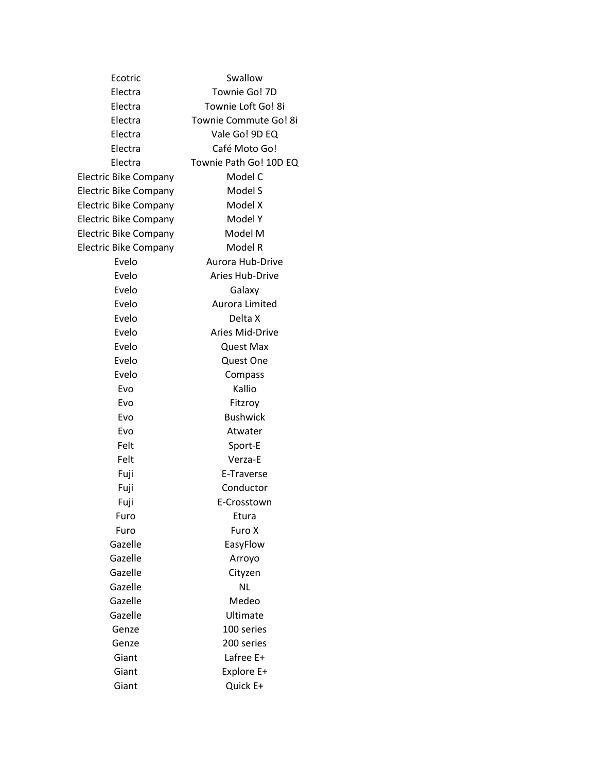| Ecotric                      | Swallow                |
|------------------------------|------------------------|
| Electra                      | Townie Go! 7D          |
| Electra                      | Townie Loft Go! 8i     |
| Electra                      | Townie Commute Go! 8i  |
| Electra                      | Vale Go! 9D EQ         |
| Electra                      | Café Moto Go!          |
| Electra                      | Townie Path Go! 10D EQ |
| <b>Electric Bike Company</b> | Model C                |
| <b>Electric Bike Company</b> | Model S                |
| <b>Electric Bike Company</b> | Model X                |
| <b>Electric Bike Company</b> | Model Y                |
| <b>Electric Bike Company</b> | Model M                |
| <b>Electric Bike Company</b> | Model R                |
| Evelo                        | Aurora Hub-Drive       |
| Evelo                        | <b>Aries Hub-Drive</b> |
| Evelo                        | Galaxy                 |
| Evelo                        | Aurora Limited         |
| Evelo                        | Delta X                |
| Evelo                        | <b>Aries Mid-Drive</b> |
| Evelo                        | <b>Quest Max</b>       |
| Evelo                        | Quest One              |
| Evelo                        | Compass                |
| Evo                          | Kallio                 |
| Evo                          | Fitzroy                |
| Evo                          | <b>Bushwick</b>        |
| Evo                          | Atwater                |
| Felt                         | Sport-E                |
| Felt                         | Verza-E                |
| Fuji                         | E-Traverse             |
| Fuji                         | Conductor              |
| Fuji                         | E-Crosstown            |
| Furo                         | Etura                  |
| Furo                         | Furo X                 |
| Gazelle                      | EasyFlow               |
| Gazelle                      | Arroyo                 |
| Gazelle                      | Cityzen                |
| Gazelle                      | <b>NL</b>              |
| Gazelle                      | Medeo                  |
| Gazelle                      | Ultimate               |
| Genze                        | 100 series             |
| Genze                        | 200 series             |
| Giant                        | Lafree E+              |
| Giant                        | Explore E+             |
| Giant                        | Quick E+               |
|                              |                        |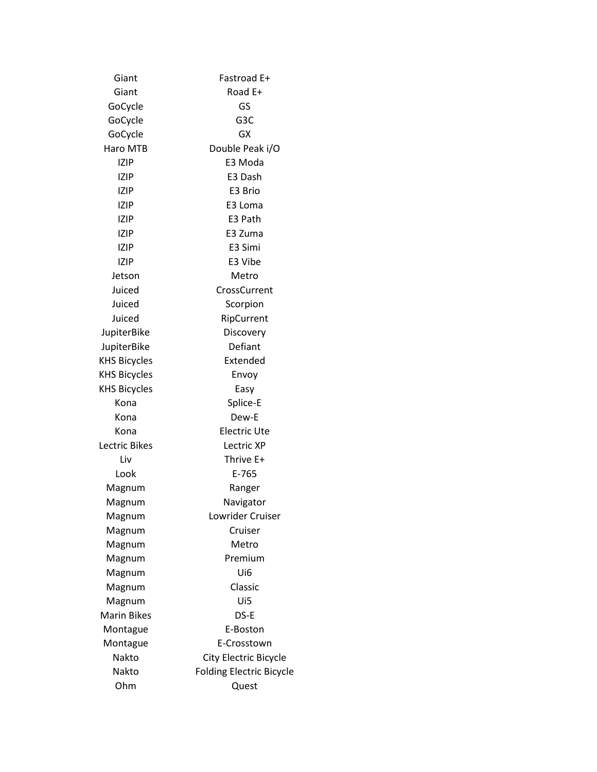| Giant               | Fastroad E+                     |
|---------------------|---------------------------------|
| Giant               | Road E+                         |
| GoCycle             | GS                              |
| GoCycle             | G3C                             |
| GoCycle             | GX                              |
| Haro MTB            | Double Peak i/O                 |
| IZIP                | E3 Moda                         |
| IZIP                | E3 Dash                         |
| IZIP                | E3 Brio                         |
| IZIP                | E3 Loma                         |
| IZIP                | E3 Path                         |
| <b>IZIP</b>         | E3 Zuma                         |
| <b>IZIP</b>         | E3 Simi                         |
| IZIP                | E3 Vibe                         |
| Jetson              | Metro                           |
| Juiced              | CrossCurrent                    |
| Juiced              | Scorpion                        |
| Juiced              | RipCurrent                      |
| JupiterBike         | Discovery                       |
| JupiterBike         | Defiant                         |
| <b>KHS Bicycles</b> | Extended                        |
| <b>KHS Bicycles</b> | Envoy                           |
| <b>KHS Bicycles</b> | Easy                            |
| Kona                | Splice-E                        |
| Kona                | Dew-E                           |
| Kona                | <b>Electric Ute</b>             |
| Lectric Bikes       | Lectric XP                      |
| Liv                 | Thrive E+                       |
| Look                | E-765                           |
| Magnum              | Ranger                          |
| Magnum              | Navigator                       |
| Magnum              | Lowrider Cruiser                |
| Magnum              | Cruiser                         |
| Magnum              | Metro                           |
| Magnum              | Premium                         |
| Magnum              | Ui6                             |
| Magnum              | Classic                         |
| Magnum              | Ui5                             |
| <b>Marin Bikes</b>  | DS-E                            |
| Montague            | E-Boston                        |
| Montague            | E-Crosstown                     |
| Nakto               | City Electric Bicycle           |
| Nakto               | <b>Folding Electric Bicycle</b> |
| Ohm                 | Quest                           |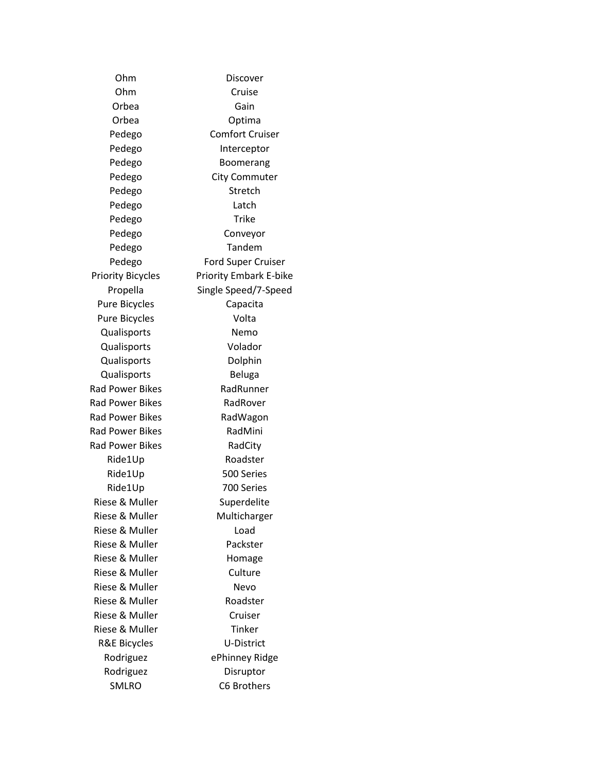Ohm Discover Ohm Cruise Orbea Gain Orbea Optima Pedego Comfort Cruiser Pedego Interceptor Pedego Boomerang Pedego City Commuter Pedego Stretch Pedego Latch Pedego Trike Pedego Conveyor Pedego Tandem Pedego Ford Super Cruiser Priority Bicycles Priority Embark E-bike Propella Single Speed/7-Speed Pure Bicycles **Capacita** Pure Bicycles **Volta** Qualisports Nemo Qualisports Volador Qualisports Dolphin Qualisports Beluga Rad Power Bikes RadRunner Rad Power Bikes RadRover Rad Power Bikes RadWagon Rad Power Bikes RadMini Rad Power Bikes RadCity Ride1Up Roadster Ride1Up 500 Series Ride1Up 700 Series Riese & Muller Superdelite Riese & Muller Multicharger Riese & Muller **Load** Riese & Muller Packster Riese & Muller Homage Riese & Muller Culture Riese & Muller Nevo Riese & Muller Roadster Riese & Muller Cruiser Riese & Muller Tinker R&E Bicycles U-District Rodriguez ePhinney Ridge Rodriguez Disruptor SMLRO C6 Brothers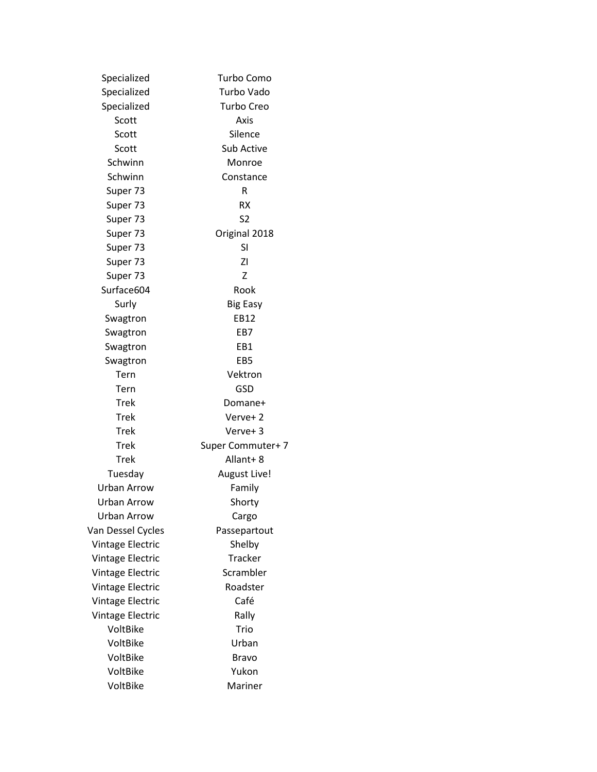| Specialized             | Turbo Como        |  |
|-------------------------|-------------------|--|
| Specialized             | Turbo Vado        |  |
| Specialized             | <b>Turbo Creo</b> |  |
| Scott                   | Axis              |  |
| Scott                   | Silence           |  |
| Scott                   | <b>Sub Active</b> |  |
| Schwinn                 | Monroe            |  |
| Schwinn                 | Constance         |  |
| Super 73                | R                 |  |
| Super 73                | RX                |  |
| Super 73                | S2                |  |
| Super 73                | Original 2018     |  |
| Super 73                | SI                |  |
| Super 73                | ΖI                |  |
| Super 73                | Z                 |  |
| Surface604              | Rook              |  |
| Surly                   | <b>Big Easy</b>   |  |
| Swagtron                | EB12              |  |
| Swagtron                | EB7               |  |
| Swagtron                | EB1               |  |
| Swagtron                | EB5               |  |
| Tern                    | Vektron           |  |
| Tern                    | GSD               |  |
| Trek                    | Domane+           |  |
| Trek                    | Verve+2           |  |
| <b>Trek</b>             | Verve+3           |  |
| <b>Trek</b>             | Super Commuter+ 7 |  |
| Trek                    | Allant+8          |  |
| Tuesday                 | August Live!      |  |
| <b>Urban Arrow</b>      | Family            |  |
| <b>Urban Arrow</b>      | Shorty            |  |
| <b>Urban Arrow</b>      | Cargo             |  |
| Van Dessel Cycles       | Passepartout      |  |
| Vintage Electric        | Shelby            |  |
| Vintage Electric        | <b>Tracker</b>    |  |
| Vintage Electric        | Scrambler         |  |
| Vintage Electric        | Roadster          |  |
| <b>Vintage Electric</b> | Café              |  |
| Vintage Electric        | Rally             |  |
| VoltBike                | Trio              |  |
| VoltBike                | Urban             |  |
| VoltBike                | Bravo             |  |
| VoltBike                | Yukon             |  |
| VoltBike                | Mariner           |  |